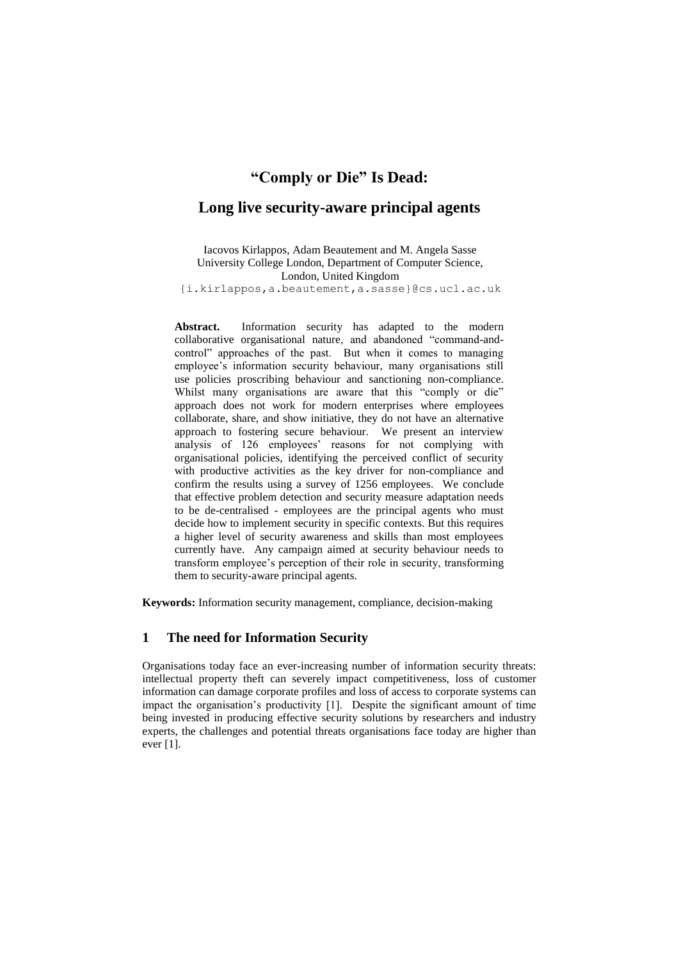# **"Comply or Die" Is Dead:**

### **Long live security-aware principal agents**

Iacovos Kirlappos, Adam Beautement and M. Angela Sasse University College London, Department of Computer Science, London, United Kingdom {i.kirlappos,a.beautement,a.sasse}@cs.ucl.ac.uk

**Abstract.** Information security has adapted to the modern collaborative organisational nature, and abandoned "command-andcontrol" approaches of the past. But when it comes to managing employee's information security behaviour, many organisations still use policies proscribing behaviour and sanctioning non-compliance. Whilst many organisations are aware that this "comply or die" approach does not work for modern enterprises where employees collaborate, share, and show initiative, they do not have an alternative approach to fostering secure behaviour. We present an interview analysis of 126 employees' reasons for not complying with organisational policies, identifying the perceived conflict of security with productive activities as the key driver for non-compliance and confirm the results using a survey of 1256 employees. We conclude that effective problem detection and security measure adaptation needs to be de-centralised - employees are the principal agents who must decide how to implement security in specific contexts. But this requires a higher level of security awareness and skills than most employees currently have. Any campaign aimed at security behaviour needs to transform employee's perception of their role in security, transforming them to security-aware principal agents.

**Keywords:** Information security management, compliance, decision-making

### **1 The need for Information Security**

Organisations today face an ever-increasing number of information security threats: intellectual property theft can severely impact competitiveness, loss of customer information can damage corporate profiles and loss of access to corporate systems can impact the organisation's productivity [1]. Despite the significant amount of time being invested in producing effective security solutions by researchers and industry experts, the challenges and potential threats organisations face today are higher than ever [1].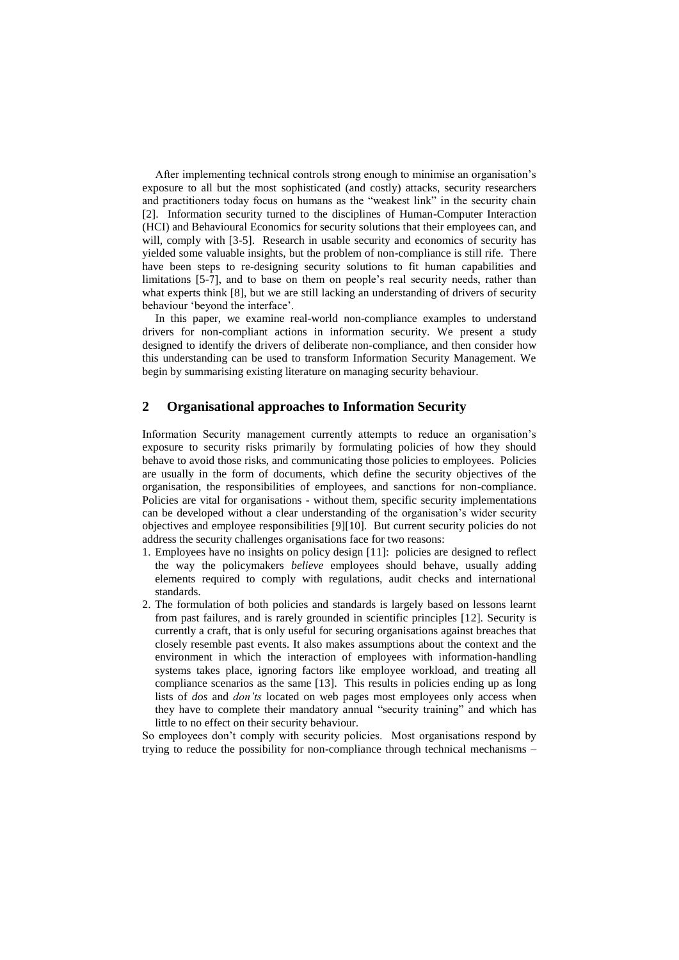After implementing technical controls strong enough to minimise an organisation's exposure to all but the most sophisticated (and costly) attacks, security researchers and practitioners today focus on humans as the "weakest link" in the security chain [2]. Information security turned to the disciplines of Human-Computer Interaction (HCI) and Behavioural Economics for security solutions that their employees can, and will, comply with [3-5]. Research in usable security and economics of security has yielded some valuable insights, but the problem of non-compliance is still rife. There have been steps to re-designing security solutions to fit human capabilities and limitations [5-7], and to base on them on people's real security needs, rather than what experts think [8], but we are still lacking an understanding of drivers of security behaviour 'beyond the interface'.

In this paper, we examine real-world non-compliance examples to understand drivers for non-compliant actions in information security. We present a study designed to identify the drivers of deliberate non-compliance, and then consider how this understanding can be used to transform Information Security Management. We begin by summarising existing literature on managing security behaviour.

### **2 Organisational approaches to Information Security**

Information Security management currently attempts to reduce an organisation's exposure to security risks primarily by formulating policies of how they should behave to avoid those risks, and communicating those policies to employees. Policies are usually in the form of documents, which define the security objectives of the organisation, the responsibilities of employees, and sanctions for non-compliance. Policies are vital for organisations - without them, specific security implementations can be developed without a clear understanding of the organisation's wider security objectives and employee responsibilities [9][10]. But current security policies do not address the security challenges organisations face for two reasons:

- 1. Employees have no insights on policy design [11]: policies are designed to reflect the way the policymakers *believe* employees should behave, usually adding elements required to comply with regulations, audit checks and international standards.
- 2. The formulation of both policies and standards is largely based on lessons learnt from past failures, and is rarely grounded in scientific principles [12]. Security is currently a craft, that is only useful for securing organisations against breaches that closely resemble past events. It also makes assumptions about the context and the environment in which the interaction of employees with information-handling systems takes place, ignoring factors like employee workload, and treating all compliance scenarios as the same [13]. This results in policies ending up as long lists of *dos* and *don'ts* located on web pages most employees only access when they have to complete their mandatory annual "security training" and which has little to no effect on their security behaviour.

So employees don't comply with security policies. Most organisations respond by trying to reduce the possibility for non-compliance through technical mechanisms –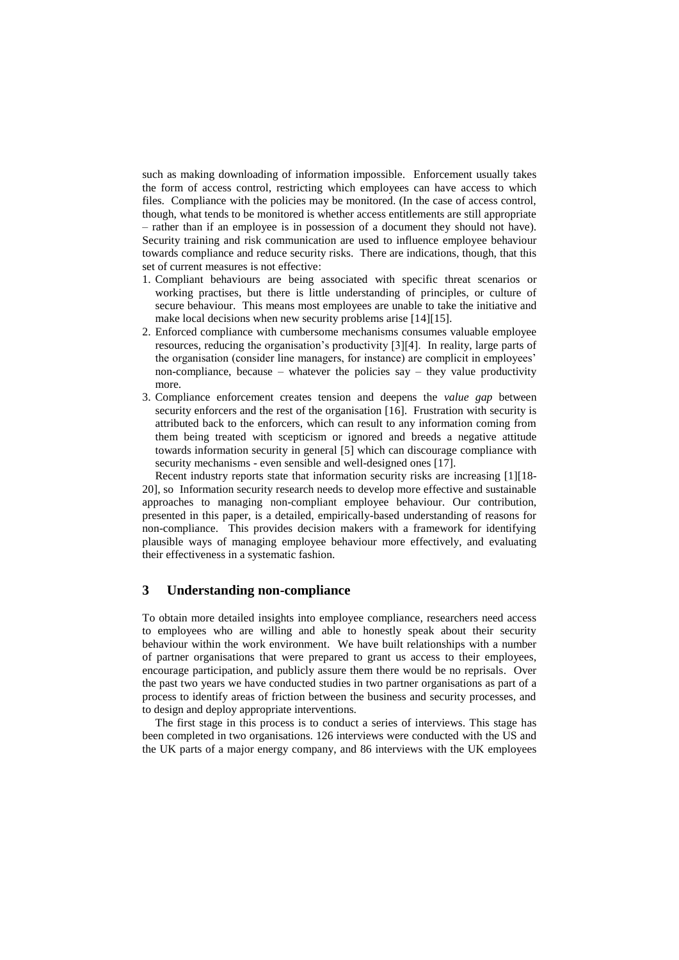such as making downloading of information impossible. Enforcement usually takes the form of access control, restricting which employees can have access to which files. Compliance with the policies may be monitored. (In the case of access control, though, what tends to be monitored is whether access entitlements are still appropriate – rather than if an employee is in possession of a document they should not have). Security training and risk communication are used to influence employee behaviour towards compliance and reduce security risks. There are indications, though, that this set of current measures is not effective:

- 1. Compliant behaviours are being associated with specific threat scenarios or working practises, but there is little understanding of principles, or culture of secure behaviour. This means most employees are unable to take the initiative and make local decisions when new security problems arise [14][15].
- 2. Enforced compliance with cumbersome mechanisms consumes valuable employee resources, reducing the organisation's productivity [3][4]. In reality, large parts of the organisation (consider line managers, for instance) are complicit in employees' non-compliance, because – whatever the policies say – they value productivity more.
- 3. Compliance enforcement creates tension and deepens the *value gap* between security enforcers and the rest of the organisation [16]. Frustration with security is attributed back to the enforcers, which can result to any information coming from them being treated with scepticism or ignored and breeds a negative attitude towards information security in general [5] which can discourage compliance with security mechanisms - even sensible and well-designed ones [17].

Recent industry reports state that information security risks are increasing [1][18-20], so Information security research needs to develop more effective and sustainable approaches to managing non-compliant employee behaviour. Our contribution, presented in this paper, is a detailed, empirically-based understanding of reasons for non-compliance. This provides decision makers with a framework for identifying plausible ways of managing employee behaviour more effectively, and evaluating their effectiveness in a systematic fashion.

#### **3 Understanding non-compliance**

To obtain more detailed insights into employee compliance, researchers need access to employees who are willing and able to honestly speak about their security behaviour within the work environment. We have built relationships with a number of partner organisations that were prepared to grant us access to their employees, encourage participation, and publicly assure them there would be no reprisals. Over the past two years we have conducted studies in two partner organisations as part of a process to identify areas of friction between the business and security processes, and to design and deploy appropriate interventions.

The first stage in this process is to conduct a series of interviews. This stage has been completed in two organisations. 126 interviews were conducted with the US and the UK parts of a major energy company, and 86 interviews with the UK employees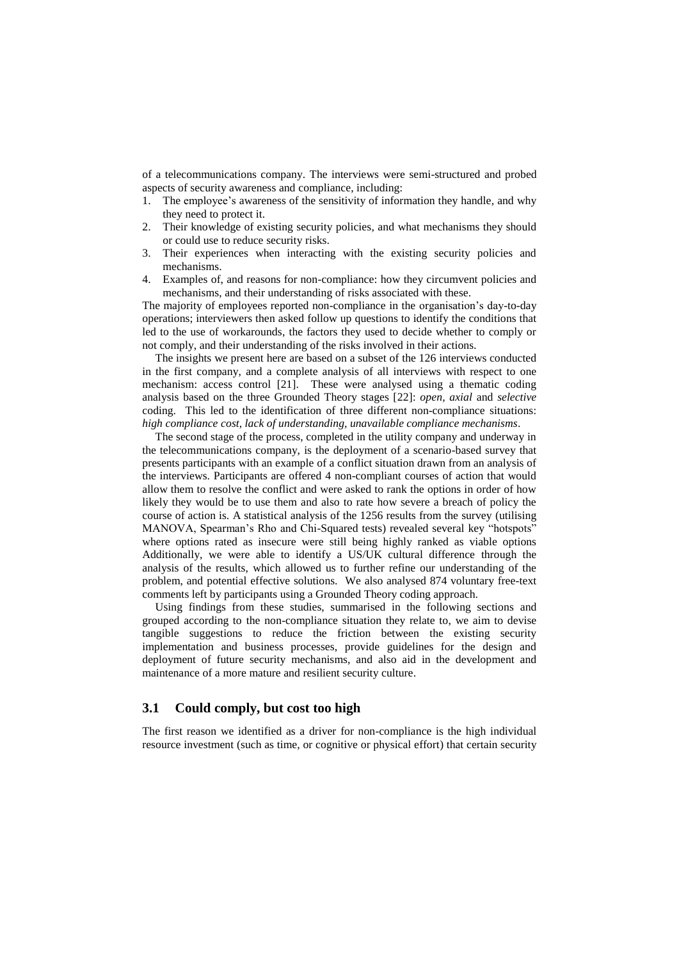of a telecommunications company. The interviews were semi-structured and probed aspects of security awareness and compliance, including:

- 1. The employee's awareness of the sensitivity of information they handle, and why they need to protect it.
- 2. Their knowledge of existing security policies, and what mechanisms they should or could use to reduce security risks.
- 3. Their experiences when interacting with the existing security policies and mechanisms.
- 4. Examples of, and reasons for non-compliance: how they circumvent policies and mechanisms, and their understanding of risks associated with these.

The majority of employees reported non-compliance in the organisation's day-to-day operations; interviewers then asked follow up questions to identify the conditions that led to the use of workarounds, the factors they used to decide whether to comply or not comply, and their understanding of the risks involved in their actions.

The insights we present here are based on a subset of the 126 interviews conducted in the first company, and a complete analysis of all interviews with respect to one mechanism: access control [21]. These were analysed using a thematic coding analysis based on the three Grounded Theory stages [22]: *open, axial* and *selective* coding. This led to the identification of three different non-compliance situations: *high compliance cost, lack of understanding, unavailable compliance mechanisms*.

The second stage of the process, completed in the utility company and underway in the telecommunications company, is the deployment of a scenario-based survey that presents participants with an example of a conflict situation drawn from an analysis of the interviews. Participants are offered 4 non-compliant courses of action that would allow them to resolve the conflict and were asked to rank the options in order of how likely they would be to use them and also to rate how severe a breach of policy the course of action is. A statistical analysis of the 1256 results from the survey (utilising MANOVA, Spearman's Rho and Chi-Squared tests) revealed several key "hotspots" where options rated as insecure were still being highly ranked as viable options Additionally, we were able to identify a US/UK cultural difference through the analysis of the results, which allowed us to further refine our understanding of the problem, and potential effective solutions. We also analysed 874 voluntary free-text comments left by participants using a Grounded Theory coding approach.

Using findings from these studies, summarised in the following sections and grouped according to the non-compliance situation they relate to, we aim to devise tangible suggestions to reduce the friction between the existing security implementation and business processes, provide guidelines for the design and deployment of future security mechanisms, and also aid in the development and maintenance of a more mature and resilient security culture.

### **3.1 Could comply, but cost too high**

The first reason we identified as a driver for non-compliance is the high individual resource investment (such as time, or cognitive or physical effort) that certain security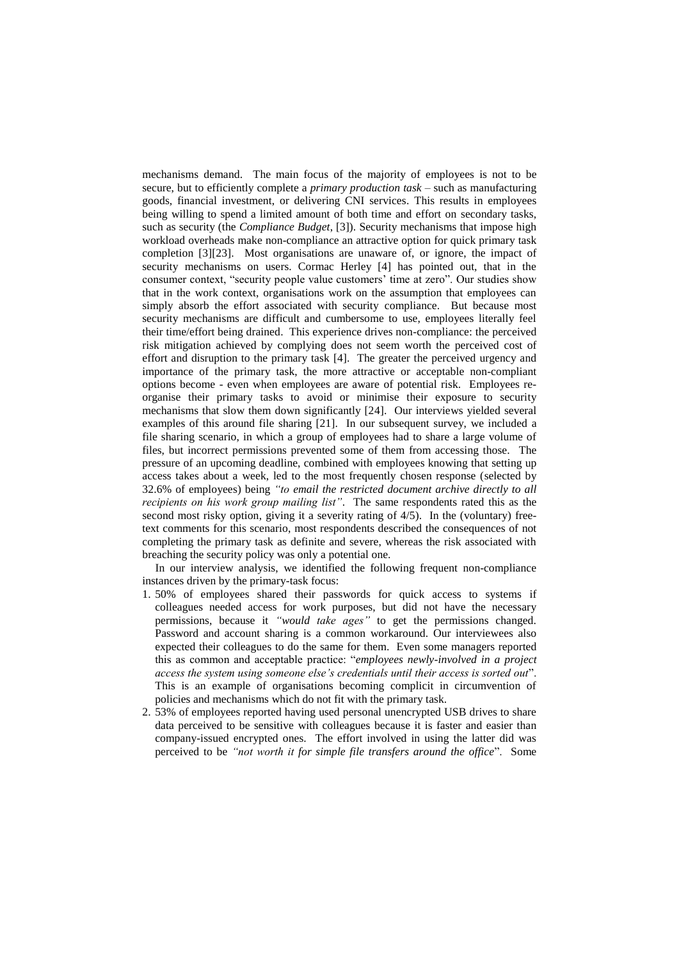mechanisms demand. The main focus of the majority of employees is not to be secure, but to efficiently complete a *primary production task* – such as manufacturing goods, financial investment, or delivering CNI services. This results in employees being willing to spend a limited amount of both time and effort on secondary tasks, such as security (the *Compliance Budget*, [3]). Security mechanisms that impose high workload overheads make non-compliance an attractive option for quick primary task completion [3][23]. Most organisations are unaware of, or ignore, the impact of security mechanisms on users. Cormac Herley [4] has pointed out, that in the consumer context, "security people value customers' time at zero". Our studies show that in the work context, organisations work on the assumption that employees can simply absorb the effort associated with security compliance. But because most security mechanisms are difficult and cumbersome to use, employees literally feel their time/effort being drained. This experience drives non-compliance: the perceived risk mitigation achieved by complying does not seem worth the perceived cost of effort and disruption to the primary task [4]. The greater the perceived urgency and importance of the primary task, the more attractive or acceptable non-compliant options become - even when employees are aware of potential risk. Employees reorganise their primary tasks to avoid or minimise their exposure to security mechanisms that slow them down significantly [24]. Our interviews yielded several examples of this around file sharing [21]. In our subsequent survey, we included a file sharing scenario, in which a group of employees had to share a large volume of files, but incorrect permissions prevented some of them from accessing those. The pressure of an upcoming deadline, combined with employees knowing that setting up access takes about a week, led to the most frequently chosen response (selected by 32.6% of employees) being *"to email the restricted document archive directly to all recipients on his work group mailing list"*. The same respondents rated this as the second most risky option, giving it a severity rating of 4/5). In the (voluntary) freetext comments for this scenario, most respondents described the consequences of not completing the primary task as definite and severe, whereas the risk associated with breaching the security policy was only a potential one.

In our interview analysis, we identified the following frequent non-compliance instances driven by the primary-task focus:

- 1. 50% of employees shared their passwords for quick access to systems if colleagues needed access for work purposes, but did not have the necessary permissions, because it *"would take ages"* to get the permissions changed. Password and account sharing is a common workaround. Our interviewees also expected their colleagues to do the same for them. Even some managers reported this as common and acceptable practice: "*employees newly-involved in a project access the system using someone else's credentials until their access is sorted out*". This is an example of organisations becoming complicit in circumvention of policies and mechanisms which do not fit with the primary task.
- 2. 53% of employees reported having used personal unencrypted USB drives to share data perceived to be sensitive with colleagues because it is faster and easier than company-issued encrypted ones. The effort involved in using the latter did was perceived to be *"not worth it for simple file transfers around the office*". Some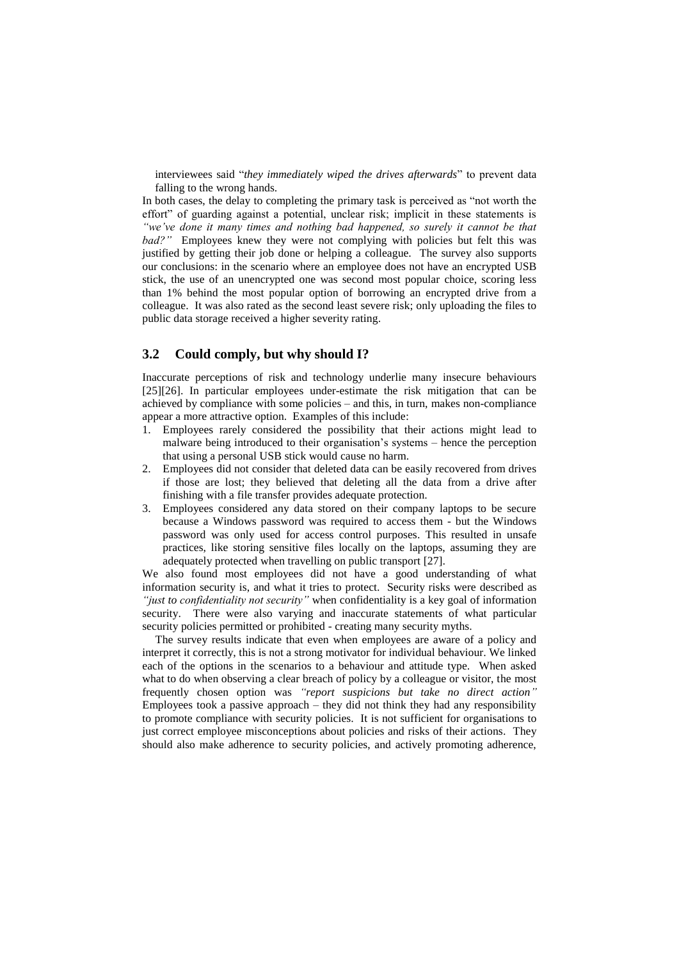interviewees said "*they immediately wiped the drives afterwards*" to prevent data falling to the wrong hands.

In both cases, the delay to completing the primary task is perceived as "not worth the effort" of guarding against a potential, unclear risk; implicit in these statements is *"we've done it many times and nothing bad happened, so surely it cannot be that*  bad?" Employees knew they were not complying with policies but felt this was justified by getting their job done or helping a colleague. The survey also supports our conclusions: in the scenario where an employee does not have an encrypted USB stick, the use of an unencrypted one was second most popular choice, scoring less than 1% behind the most popular option of borrowing an encrypted drive from a colleague. It was also rated as the second least severe risk; only uploading the files to public data storage received a higher severity rating.

### **3.2 Could comply, but why should I?**

Inaccurate perceptions of risk and technology underlie many insecure behaviours [25][26]. In particular employees under-estimate the risk mitigation that can be achieved by compliance with some policies – and this, in turn, makes non-compliance appear a more attractive option. Examples of this include:

- 1. Employees rarely considered the possibility that their actions might lead to malware being introduced to their organisation's systems – hence the perception that using a personal USB stick would cause no harm.
- 2. Employees did not consider that deleted data can be easily recovered from drives if those are lost; they believed that deleting all the data from a drive after finishing with a file transfer provides adequate protection.
- 3. Employees considered any data stored on their company laptops to be secure because a Windows password was required to access them - but the Windows password was only used for access control purposes. This resulted in unsafe practices, like storing sensitive files locally on the laptops, assuming they are adequately protected when travelling on public transport [27].

We also found most employees did not have a good understanding of what information security is, and what it tries to protect. Security risks were described as *"just to confidentiality not security"* when confidentiality is a key goal of information security. There were also varying and inaccurate statements of what particular security policies permitted or prohibited - creating many security myths.

The survey results indicate that even when employees are aware of a policy and interpret it correctly, this is not a strong motivator for individual behaviour. We linked each of the options in the scenarios to a behaviour and attitude type. When asked what to do when observing a clear breach of policy by a colleague or visitor, the most frequently chosen option was *"report suspicions but take no direct action"* Employees took a passive approach  $-$  they did not think they had any responsibility to promote compliance with security policies. It is not sufficient for organisations to just correct employee misconceptions about policies and risks of their actions. They should also make adherence to security policies, and actively promoting adherence,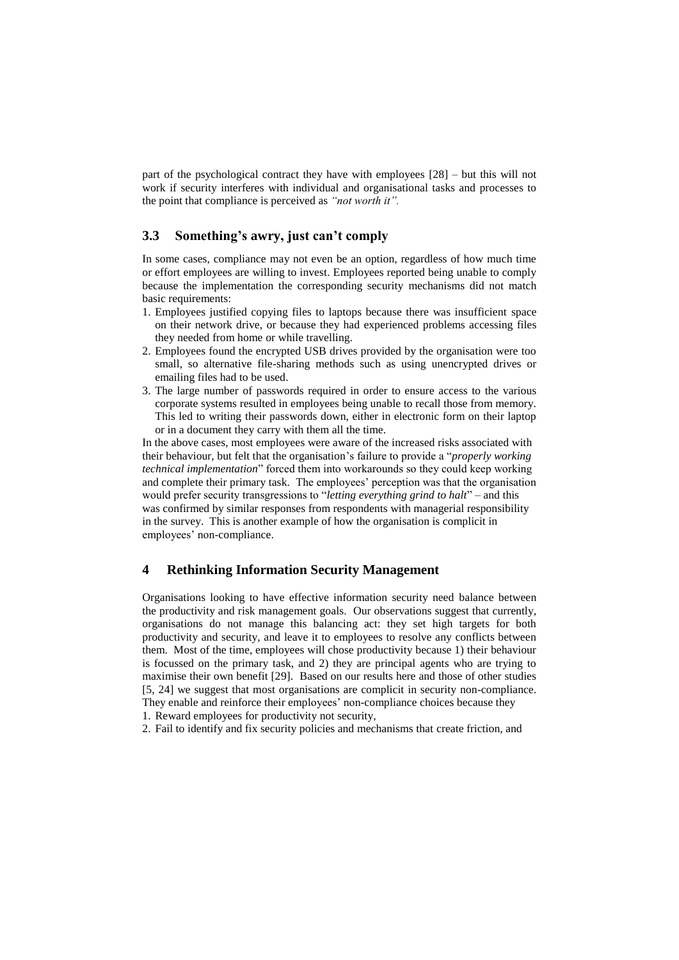part of the psychological contract they have with employees [28] – but this will not work if security interferes with individual and organisational tasks and processes to the point that compliance is perceived as *"not worth it".*

## **3.3 Something's awry, just can't comply**

In some cases, compliance may not even be an option, regardless of how much time or effort employees are willing to invest. Employees reported being unable to comply because the implementation the corresponding security mechanisms did not match basic requirements:

- 1. Employees justified copying files to laptops because there was insufficient space on their network drive, or because they had experienced problems accessing files they needed from home or while travelling.
- 2. Employees found the encrypted USB drives provided by the organisation were too small, so alternative file-sharing methods such as using unencrypted drives or emailing files had to be used.
- 3. The large number of passwords required in order to ensure access to the various corporate systems resulted in employees being unable to recall those from memory. This led to writing their passwords down, either in electronic form on their laptop or in a document they carry with them all the time.

In the above cases, most employees were aware of the increased risks associated with their behaviour, but felt that the organisation's failure to provide a "*properly working technical implementation*" forced them into workarounds so they could keep working and complete their primary task. The employees' perception was that the organisation would prefer security transgressions to "*letting everything grind to halt*" – and this was confirmed by similar responses from respondents with managerial responsibility in the survey. This is another example of how the organisation is complicit in employees' non-compliance.

### **4 Rethinking Information Security Management**

Organisations looking to have effective information security need balance between the productivity and risk management goals. Our observations suggest that currently, organisations do not manage this balancing act: they set high targets for both productivity and security, and leave it to employees to resolve any conflicts between them. Most of the time, employees will chose productivity because 1) their behaviour is focussed on the primary task, and 2) they are principal agents who are trying to maximise their own benefit [29]. Based on our results here and those of other studies [5, 24] we suggest that most organisations are complicit in security non-compliance. They enable and reinforce their employees' non-compliance choices because they

- 1. Reward employees for productivity not security,
- 2. Fail to identify and fix security policies and mechanisms that create friction, and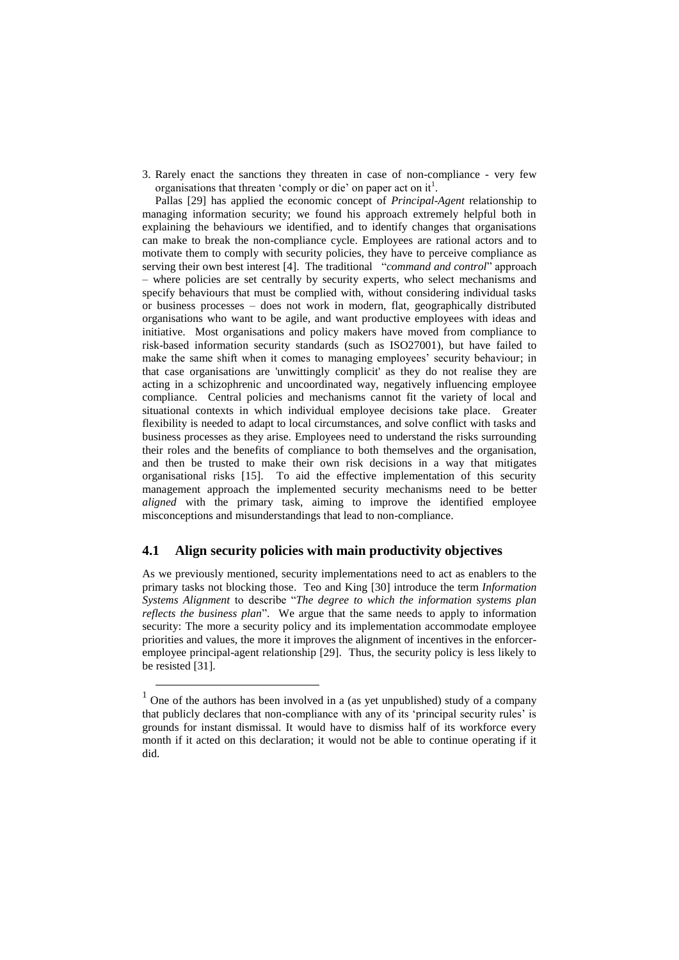3. Rarely enact the sanctions they threaten in case of non-compliance - very few organisations that threaten 'comply or die' on paper act on it<sup>1</sup>.

Pallas [29] has applied the economic concept of *Principal-Agent* relationship to managing information security; we found his approach extremely helpful both in explaining the behaviours we identified, and to identify changes that organisations can make to break the non-compliance cycle. Employees are rational actors and to motivate them to comply with security policies, they have to perceive compliance as serving their own best interest [4]. The traditional "*command and control*" approach – where policies are set centrally by security experts, who select mechanisms and specify behaviours that must be complied with, without considering individual tasks or business processes – does not work in modern, flat, geographically distributed organisations who want to be agile, and want productive employees with ideas and initiative. Most organisations and policy makers have moved from compliance to risk-based information security standards (such as ISO27001), but have failed to make the same shift when it comes to managing employees' security behaviour; in that case organisations are 'unwittingly complicit' as they do not realise they are acting in a schizophrenic and uncoordinated way, negatively influencing employee compliance. Central policies and mechanisms cannot fit the variety of local and situational contexts in which individual employee decisions take place. Greater flexibility is needed to adapt to local circumstances, and solve conflict with tasks and business processes as they arise. Employees need to understand the risks surrounding their roles and the benefits of compliance to both themselves and the organisation, and then be trusted to make their own risk decisions in a way that mitigates organisational risks [15]. To aid the effective implementation of this security management approach the implemented security mechanisms need to be better *aligned* with the primary task, aiming to improve the identified employee misconceptions and misunderstandings that lead to non-compliance.

### **4.1 Align security policies with main productivity objectives**

As we previously mentioned, security implementations need to act as enablers to the primary tasks not blocking those. Teo and King [30] introduce the term *Information Systems Alignment* to describe "*The degree to which the information systems plan reflects the business plan*". We argue that the same needs to apply to information security: The more a security policy and its implementation accommodate employee priorities and values, the more it improves the alignment of incentives in the enforceremployee principal-agent relationship [29]. Thus, the security policy is less likely to be resisted [31].

<sup>&</sup>lt;sup>1</sup> One of the authors has been involved in a (as yet unpublished) study of a company that publicly declares that non-compliance with any of its 'principal security rules' is grounds for instant dismissal. It would have to dismiss half of its workforce every month if it acted on this declaration; it would not be able to continue operating if it did.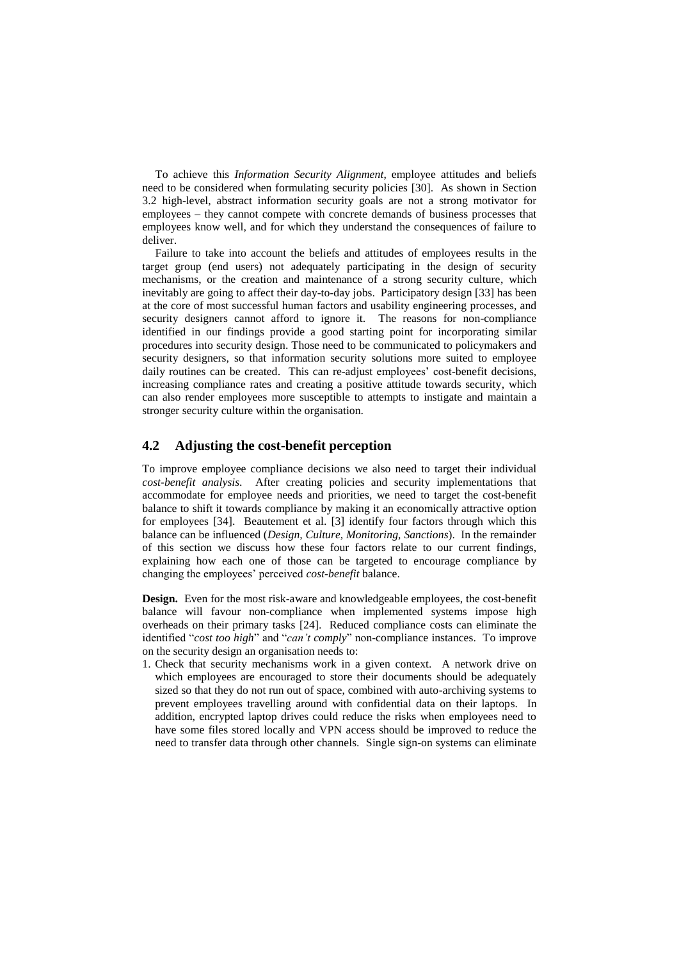To achieve this *Information Security Alignment*, employee attitudes and beliefs need to be considered when formulating security policies [30]. As shown in Section 3.2 high-level, abstract information security goals are not a strong motivator for employees – they cannot compete with concrete demands of business processes that employees know well, and for which they understand the consequences of failure to deliver.

Failure to take into account the beliefs and attitudes of employees results in the target group (end users) not adequately participating in the design of security mechanisms, or the creation and maintenance of a strong security culture, which inevitably are going to affect their day-to-day jobs. Participatory design [33] has been at the core of most successful human factors and usability engineering processes, and security designers cannot afford to ignore it. The reasons for non-compliance identified in our findings provide a good starting point for incorporating similar procedures into security design. Those need to be communicated to policymakers and security designers, so that information security solutions more suited to employee daily routines can be created. This can re-adjust employees' cost-benefit decisions, increasing compliance rates and creating a positive attitude towards security, which can also render employees more susceptible to attempts to instigate and maintain a stronger security culture within the organisation.

### **4.2 Adjusting the cost-benefit perception**

To improve employee compliance decisions we also need to target their individual *cost-benefit analysis*. After creating policies and security implementations that accommodate for employee needs and priorities, we need to target the cost-benefit balance to shift it towards compliance by making it an economically attractive option for employees [34]. Beautement et al. [3] identify four factors through which this balance can be influenced (*Design, Culture, Monitoring, Sanctions*). In the remainder of this section we discuss how these four factors relate to our current findings, explaining how each one of those can be targeted to encourage compliance by changing the employees' perceived *cost-benefit* balance.

**Design.** Even for the most risk-aware and knowledgeable employees, the cost-benefit balance will favour non-compliance when implemented systems impose high overheads on their primary tasks [24]. Reduced compliance costs can eliminate the identified "*cost too high*" and "*can't comply*" non-compliance instances. To improve on the security design an organisation needs to:

1. Check that security mechanisms work in a given context. A network drive on which employees are encouraged to store their documents should be adequately sized so that they do not run out of space, combined with auto-archiving systems to prevent employees travelling around with confidential data on their laptops. In addition, encrypted laptop drives could reduce the risks when employees need to have some files stored locally and VPN access should be improved to reduce the need to transfer data through other channels. Single sign-on systems can eliminate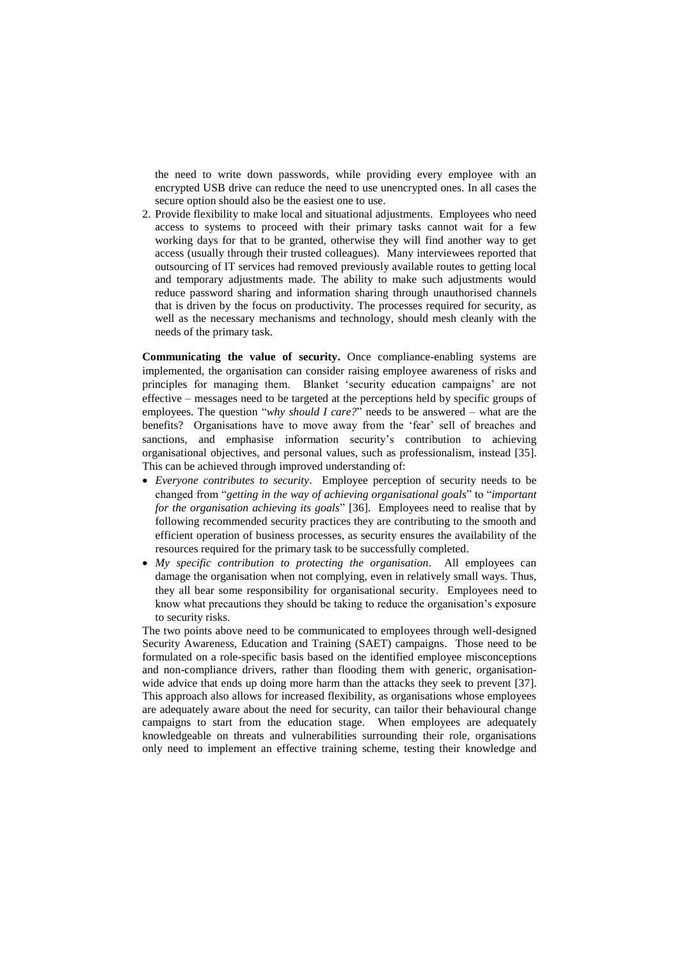the need to write down passwords, while providing every employee with an encrypted USB drive can reduce the need to use unencrypted ones. In all cases the secure option should also be the easiest one to use.

2. Provide flexibility to make local and situational adjustments. Employees who need access to systems to proceed with their primary tasks cannot wait for a few working days for that to be granted, otherwise they will find another way to get access (usually through their trusted colleagues). Many interviewees reported that outsourcing of IT services had removed previously available routes to getting local and temporary adjustments made. The ability to make such adjustments would reduce password sharing and information sharing through unauthorised channels that is driven by the focus on productivity. The processes required for security, as well as the necessary mechanisms and technology, should mesh cleanly with the needs of the primary task.

**Communicating the value of security.** Once compliance-enabling systems are implemented, the organisation can consider raising employee awareness of risks and principles for managing them. Blanket 'security education campaigns' are not effective – messages need to be targeted at the perceptions held by specific groups of employees. The question "*why should I care?*" needs to be answered – what are the benefits? Organisations have to move away from the 'fear' sell of breaches and sanctions, and emphasise information security's contribution to achieving organisational objectives, and personal values, such as professionalism, instead [35]. This can be achieved through improved understanding of:

- *Everyone contributes to security*. Employee perception of security needs to be changed from "*getting in the way of achieving organisational goals*" to "*important for the organisation achieving its goals*" [36]. Employees need to realise that by following recommended security practices they are contributing to the smooth and efficient operation of business processes, as security ensures the availability of the resources required for the primary task to be successfully completed.
- *My specific contribution to protecting the organisation*. All employees can damage the organisation when not complying, even in relatively small ways. Thus, they all bear some responsibility for organisational security. Employees need to know what precautions they should be taking to reduce the organisation's exposure to security risks.

The two points above need to be communicated to employees through well-designed Security Awareness, Education and Training (SAET) campaigns. Those need to be formulated on a role-specific basis based on the identified employee misconceptions and non-compliance drivers, rather than flooding them with generic, organisationwide advice that ends up doing more harm than the attacks they seek to prevent [37]. This approach also allows for increased flexibility, as organisations whose employees are adequately aware about the need for security, can tailor their behavioural change campaigns to start from the education stage. When employees are adequately knowledgeable on threats and vulnerabilities surrounding their role, organisations only need to implement an effective training scheme, testing their knowledge and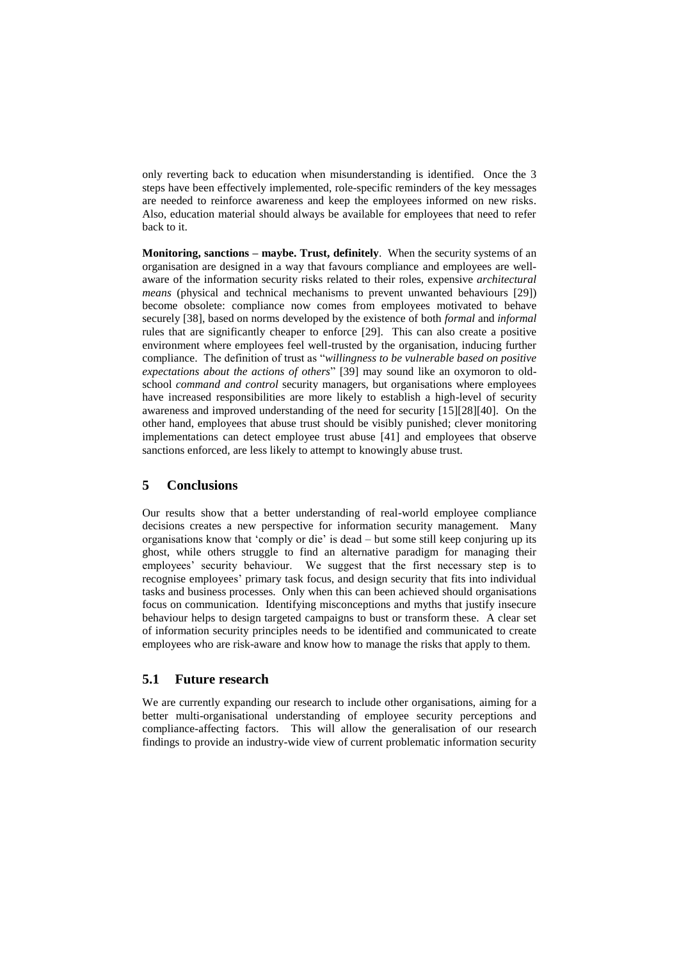only reverting back to education when misunderstanding is identified. Once the 3 steps have been effectively implemented, role-specific reminders of the key messages are needed to reinforce awareness and keep the employees informed on new risks. Also, education material should always be available for employees that need to refer back to it.

**Monitoring, sanctions – maybe. Trust, definitely**. When the security systems of an organisation are designed in a way that favours compliance and employees are wellaware of the information security risks related to their roles, expensive *architectural means* (physical and technical mechanisms to prevent unwanted behaviours [29]) become obsolete: compliance now comes from employees motivated to behave securely [38], based on norms developed by the existence of both *formal* and *informal* rules that are significantly cheaper to enforce [29]. This can also create a positive environment where employees feel well-trusted by the organisation, inducing further compliance. The definition of trust as "*willingness to be vulnerable based on positive expectations about the actions of others*" [39] may sound like an oxymoron to oldschool *command and control* security managers, but organisations where employees have increased responsibilities are more likely to establish a high-level of security awareness and improved understanding of the need for security [15][28][40]. On the other hand, employees that abuse trust should be visibly punished; clever monitoring implementations can detect employee trust abuse [41] and employees that observe sanctions enforced, are less likely to attempt to knowingly abuse trust.

### **5 Conclusions**

Our results show that a better understanding of real-world employee compliance decisions creates a new perspective for information security management. Many organisations know that 'comply or die' is dead – but some still keep conjuring up its ghost, while others struggle to find an alternative paradigm for managing their employees' security behaviour. We suggest that the first necessary step is to recognise employees' primary task focus, and design security that fits into individual tasks and business processes. Only when this can been achieved should organisations focus on communication. Identifying misconceptions and myths that justify insecure behaviour helps to design targeted campaigns to bust or transform these. A clear set of information security principles needs to be identified and communicated to create employees who are risk-aware and know how to manage the risks that apply to them.

#### **5.1 Future research**

We are currently expanding our research to include other organisations, aiming for a better multi-organisational understanding of employee security perceptions and compliance-affecting factors. This will allow the generalisation of our research findings to provide an industry-wide view of current problematic information security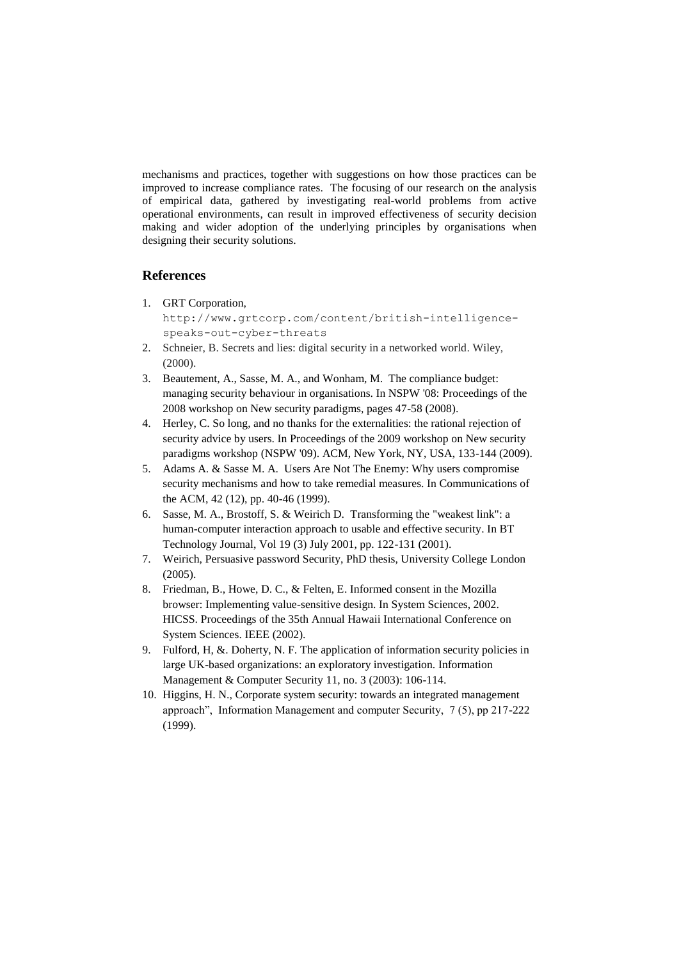mechanisms and practices, together with suggestions on how those practices can be improved to increase compliance rates. The focusing of our research on the analysis of empirical data, gathered by investigating real-world problems from active operational environments, can result in improved effectiveness of security decision making and wider adoption of the underlying principles by organisations when designing their security solutions.

### **References**

- 1. GRT Corporation, http://www.grtcorp.com/content/british-intelligencespeaks-out-cyber-threats
- 2. Schneier, B. Secrets and lies: digital security in a networked world. Wiley,  $(2000)$ .
- 3. Beautement, A., Sasse, M. A., and Wonham, M. The compliance budget: managing security behaviour in organisations. In NSPW '08: Proceedings of the 2008 workshop on New security paradigms, pages 47-58 (2008).
- 4. Herley, C. So long, and no thanks for the externalities: the rational rejection of security advice by users. In Proceedings of the 2009 workshop on New security paradigms workshop (NSPW '09). ACM, New York, NY, USA, 133-144 (2009).
- 5. Adams A. & Sasse M. A. Users Are Not The Enemy: Why users compromise security mechanisms and how to take remedial measures. In Communications of the ACM, 42 (12), pp. 40-46 (1999).
- 6. Sasse, M. A., Brostoff, S. & Weirich D[. Transforming the "weakest link": a](http://hornbeam.cs.ucl.ac.uk/hcs/publications/Sasse+Brostoff+Weirich_A%20human-computer%20interaction%20approach%20to%20usable%20and%20effective%20security_BTTJ2001.pdf)  [human-computer interaction approach to usable and effective security.](http://hornbeam.cs.ucl.ac.uk/hcs/publications/Sasse+Brostoff+Weirich_A%20human-computer%20interaction%20approach%20to%20usable%20and%20effective%20security_BTTJ2001.pdf) In BT Technology Journal, Vol 19 (3) July 2001, pp. 122-131 (2001).
- 7. Weirich, Persuasive password Security, PhD thesis, University College London (2005).
- 8. Friedman, B., Howe, D. C., & Felten, E. Informed consent in the Mozilla browser: Implementing value-sensitive design. In System Sciences, 2002. HICSS. Proceedings of the 35th Annual Hawaii International Conference on System Sciences. IEEE (2002).
- 9. Fulford, H, &. Doherty, N. F. The application of information security policies in large UK-based organizations: an exploratory investigation. Information Management & Computer Security 11, no. 3 (2003): 106-114.
- 10. Higgins, H. N., Corporate system security: towards an integrated management approach", Information Management and computer Security, 7 (5), pp 217-222 (1999).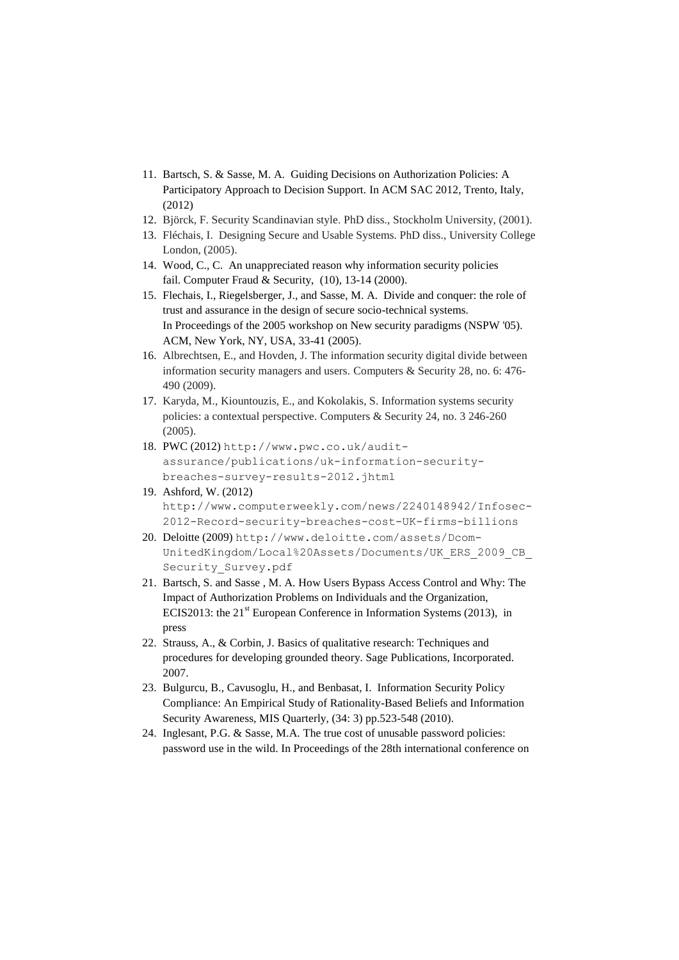- 11. Bartsch, S. & Sasse, M. A. Guiding Decisions on Authorization Policies: A Participatory Approach to Decision Support. In ACM SAC 2012, Trento, Italy, (2012)
- 12. Björck, F. Security Scandinavian style. PhD diss., Stockholm University, (2001).
- 13. Fléchais, I. Designing Secure and Usable Systems. PhD diss., University College London, (2005).
- 14. Wood, C., C. An unappreciated reason why information security policies fail. Computer Fraud & Security, (10), 13-14 (2000).
- 15. Flechais, I., Riegelsberger, J., and Sasse, M. A. Divide and conquer: the role of trust and assurance in the design of secure socio-technical systems. In Proceedings of the 2005 workshop on New security paradigms (NSPW '05). ACM, New York, NY, USA, 33-41 (2005).
- 16. Albrechtsen, E., and Hovden, J. The information security digital divide between information security managers and users. Computers & Security 28, no. 6: 476- 490 (2009).
- 17. Karyda, M., Kiountouzis, E., and Kokolakis, S. Information systems security policies: a contextual perspective. Computers & Security 24, no. 3 246-260 (2005).
- 18. PWC (2012) http://www.pwc.co.uk/auditassurance/publications/uk-information-securitybreaches-survey-results-2012.jhtml
- 19. Ashford, W. (2012) http://www.computerweekly.com/news/2240148942/Infosec-2012-Record-security-breaches-cost-UK-firms-billions
- 20. Deloitte (2009) http://www.deloitte.com/assets/Dcom-UnitedKingdom/Local%20Assets/Documents/UK\_ERS\_2009\_CB\_ Security\_Survey.pdf
- 21. Bartsch, S. and Sasse , M. A. How Users Bypass Access Control and Why: The Impact of Authorization Problems on Individuals and the Organization, ECIS2013: the  $21<sup>st</sup>$  European Conference in Information Systems (2013), in press
- 22. Strauss, A., & Corbin, J. Basics of qualitative research: Techniques and procedures for developing grounded theory. Sage Publications, Incorporated. 2007.
- 23. Bulgurcu, B., Cavusoglu, H., and Benbasat, I. Information Security Policy Compliance: An Empirical Study of Rationality-Based Beliefs and Information Security Awareness, MIS Quarterly, (34: 3) pp.523-548 (2010).
- 24. Inglesant, P.G. & Sasse, M.A. [The true cost of unusable password policies:](http://sec.cs.ucl.ac.uk/fileadmin/sec/publications/Inglesant_Sasse_The_True_Cost_of_Unusable_Password_Policies_CHI2010.pdf)  [password use in the wild.](http://sec.cs.ucl.ac.uk/fileadmin/sec/publications/Inglesant_Sasse_The_True_Cost_of_Unusable_Password_Policies_CHI2010.pdf) In Proceedings of the 28th international conference on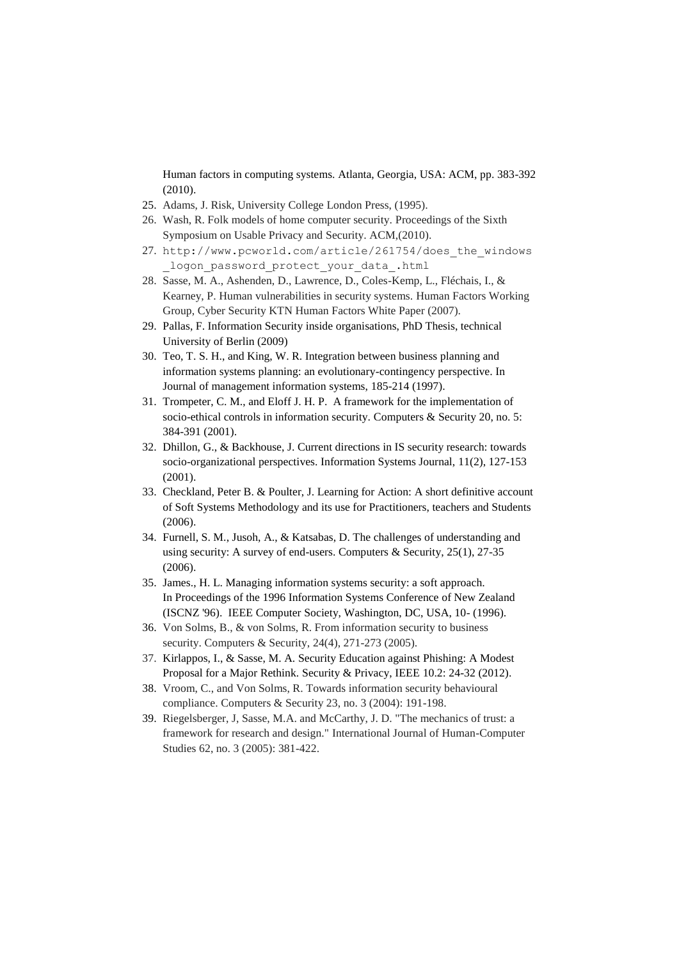Human factors in computing systems. Atlanta, Georgia, USA: ACM, pp. 383-392 (2010).

- 25. Adams, J. Risk, University College London Press, (1995).
- 26. Wash, R. Folk models of home computer security. Proceedings of the Sixth Symposium on Usable Privacy and Security. ACM,(2010).
- 27. http://www.pcworld.com/article/261754/does\_the\_windows logon password protect your data .html
- 28. Sasse, M. A., Ashenden, D., Lawrence, D., Coles-Kemp, L., Fléchais, I., & Kearney, P. Human vulnerabilities in security systems. Human Factors Working Group, Cyber Security KTN Human Factors White Paper (2007).
- 29. Pallas, F. Information Security inside organisations, PhD Thesis, technical University of Berlin (2009)
- 30. Teo, T. S. H., and King, W. R. Integration between business planning and information systems planning: an evolutionary-contingency perspective. In Journal of management information systems, 185-214 (1997).
- 31. Trompeter, C. M., and Eloff J. H. P. A framework for the implementation of socio-ethical controls in information security. Computers & Security 20, no. 5: 384-391 (2001).
- 32. Dhillon, G., & Backhouse, J. Current directions in IS security research: towards socio-organizational perspectives. Information Systems Journal, 11(2), 127-153 (2001).
- 33. Checkland, Peter B. & Poulter, J. Learning for Action: A short definitive account of Soft Systems Methodology and its use for Practitioners, teachers and Students (2006).
- 34. Furnell, S. M., Jusoh, A., & Katsabas, D. The challenges of understanding and using security: A survey of end-users. Computers & Security, 25(1), 27-35 (2006).
- 35. James., H. L. Managing information systems security: a soft approach. In Proceedings of the 1996 Information Systems Conference of New Zealand (ISCNZ '96). IEEE Computer Society, Washington, DC, USA, 10- (1996).
- 36. Von Solms, B., & von Solms, R. From information security to business security. Computers & Security, 24(4), 271-273 (2005).
- 37. Kirlappos, I., & Sasse, M. A. Security Education against Phishing: A Modest Proposal for a Major Rethink. Security & Privacy, IEEE 10.2: 24-32 (2012).
- 38. Vroom, C., and Von Solms, R. Towards information security behavioural compliance. Computers & Security 23, no. 3 (2004): 191-198.
- 39. Riegelsberger, J, Sasse, M.A. and McCarthy, J. D. "The mechanics of trust: a framework for research and design." International Journal of Human-Computer Studies 62, no. 3 (2005): 381-422.